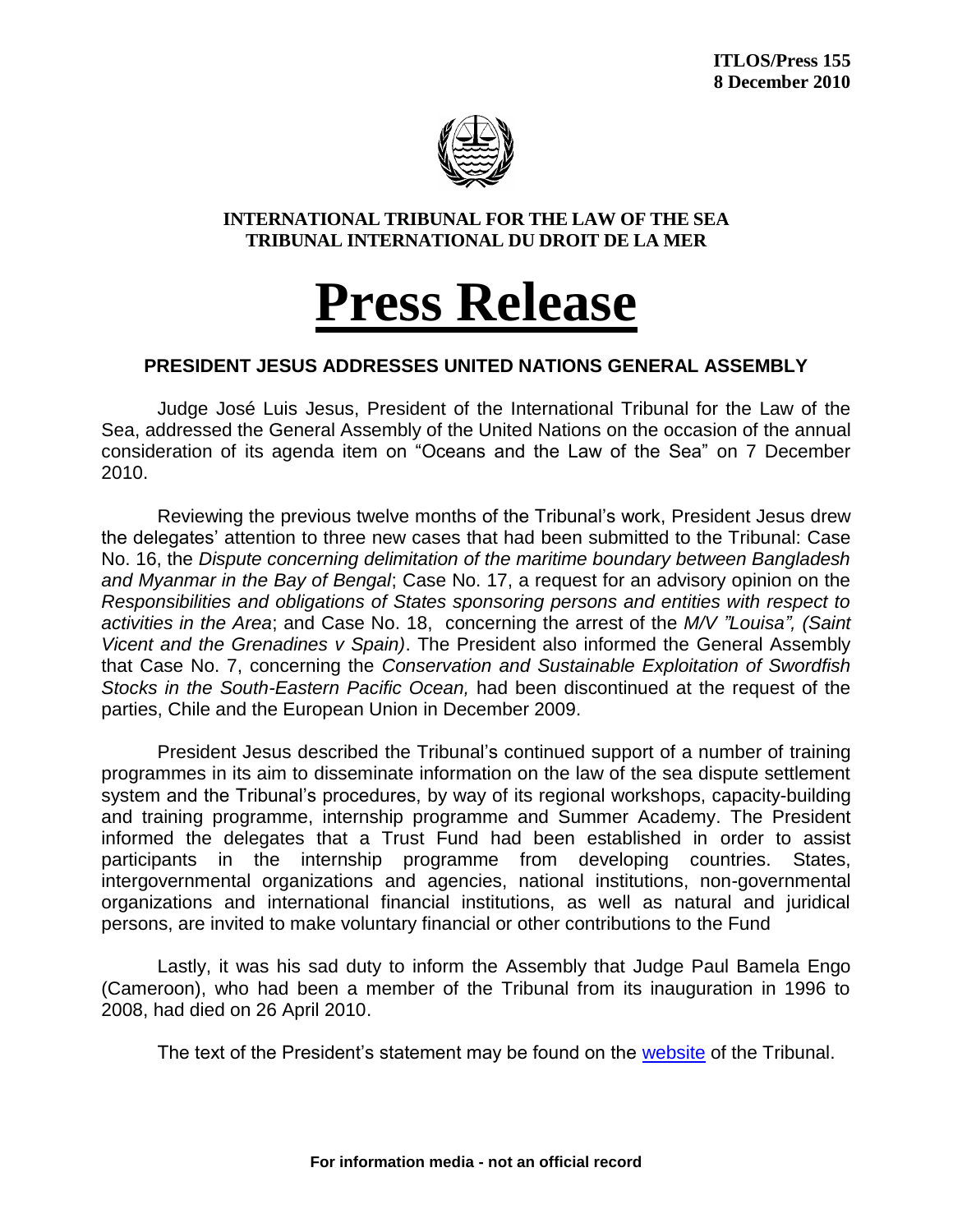

## **INTERNATIONAL TRIBUNAL FOR THE LAW OF THE SEA TRIBUNAL INTERNATIONAL DU DROIT DE LA MER**

## **Press Release**

## **PRESIDENT JESUS ADDRESSES UNITED NATIONS GENERAL ASSEMBLY**

Judge José Luis Jesus, President of the International Tribunal for the Law of the Sea, addressed the General Assembly of the United Nations on the occasion of the annual consideration of its agenda item on "Oceans and the Law of the Sea" on 7 December 2010.

Reviewing the previous twelve months of the Tribunal's work, President Jesus drew the delegates' attention to three new cases that had been submitted to the Tribunal: Case No. 16, the *Dispute concerning delimitation of the maritime boundary between Bangladesh and Myanmar in the Bay of Bengal*; Case No. 17, a request for an advisory opinion on the *Responsibilities and obligations of States sponsoring persons and entities with respect to activities in the Area*; and Case No. 18, concerning the arrest of the *M/V "Louisa", (Saint Vicent and the Grenadines v Spain)*. The President also informed the General Assembly that Case No. 7, concerning the *Conservation and Sustainable Exploitation of Swordfish Stocks in the South-Eastern Pacific Ocean,* had been discontinued at the request of the parties, Chile and the European Union in December 2009.

President Jesus described the Tribunal's continued support of a number of training programmes in its aim to disseminate information on the law of the sea dispute settlement system and the Tribunal's procedures, by way of its regional workshops, capacity-building and training programme, internship programme and Summer Academy. The President informed the delegates that a Trust Fund had been established in order to assist participants in the internship programme from developing countries. States, intergovernmental organizations and agencies, national institutions, non-governmental organizations and international financial institutions, as well as natural and juridical persons, are invited to make voluntary financial or other contributions to the Fund

Lastly, it was his sad duty to inform the Assembly that Judge Paul Bamela Engo (Cameroon), who had been a member of the Tribunal from its inauguration in 1996 to 2008, had died on 26 April 2010.

The text of the President's statement may be found on the [website](http://www.itlos.org/) of the Tribunal.